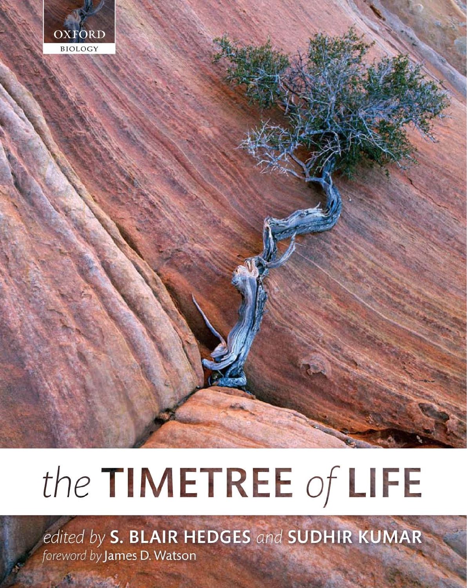

# the TIMETREE of LIFE

edited by S. BLAIR HEDGES and SUDHIR KUMAR foreword by James D. Watson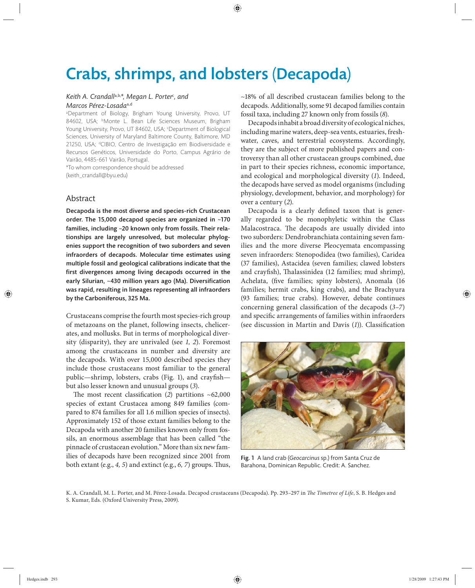# Crabs, shrimps, and lobsters (Decapoda)

## *Keith A. Crandall*a,b,*\*, Megan L. Porter*<sup>c</sup> *, and Marcos Pérez-Losada*a,d

a Department of Biology, Brigham Young University, Provo, UT 84602, USA; <sup>b</sup>Monte L. Bean Life Sciences Museum, Brigham Young University, Provo, UT 84602, USA; <sup>c</sup>Department of Biological Sciences, University of Maryland Baltimore County, Baltimore, MD 21250, USA; dCIBIO, Centro de Investigação em Biodiversidade e Recursos Genéticos, Universidade do Porto, Campus Agrário de Vairão, 4485-661 Vairão, Portugal.

\*To whom correspondence should be addressed (keith\_crandall@byu.edu)

# Abstract

Decapoda is the most diverse and species-rich Crustacean order. The 15,000 decapod species are organized in  $~170$ families, including ~20 known only from fossils. Their relationships are largely unresolved, but molecular phylogenies support the recognition of two suborders and seven infraorders of decapods. Molecular time estimates using multiple fossil and geological calibrations indicate that the first divergences among living decapods occurred in the early Silurian, ~430 million years ago (Ma). Diversification was rapid, resulting in lineages representing all infraorders by the Carboniferous, 325 Ma.

Crustaceans comprise the fourth most species-rich group of metazoans on the planet, following insects, chelicerates, and mollusks. But in terms of morphological diversity (disparity), they are unrivaled (see 1, 2). Foremost among the crustaceans in number and diversity are the decapods. With over 15,000 described species they include those crustaceans most familiar to the general public—shrimp, lobsters, crabs (Fig. 1), and crayfish but also lesser known and unusual groups (*3*).

The most recent classification  $(2)$  partitions  $~162,000$ species of extant Crustacea among 849 families (compared to 874 families for all 1.6 million species of insects). Approximately 152 of those extant families belong to the Decapoda with another 20 families known only from fossils, an enormous assemblage that has been called "the pinnacle of crustacean evolution." More than six new families of decapods have been recognized since 2001 from both extant (e.g.,  $4$ ,  $5$ ) and extinct (e.g.,  $6$ ,  $7$ ) groups. Thus,

~18% of all described crustacean families belong to the decapods. Additionally, some 91 decapod families contain fossil taxa, including 27 known only from fossils (*8*).

Decapods inhabit a broad diversity of ecological niches, including marine waters, deep-sea vents, estuaries, freshwater, caves, and terrestrial ecosystems. Accordingly, they are the subject of more published papers and controversy than all other crustacean groups combined, due in part to their species richness, economic importance, and ecological and morphological diversity (*1*). Indeed, the decapods have served as model organisms (including physiology, development, behavior, and morphology) for over a century (*2*).

Decapoda is a clearly defined taxon that is generally regarded to be monophyletic within the Class Malacostraca. The decapods are usually divided into two suborders: Dendrobranchiata containing seven families and the more diverse Pleocyemata encompassing seven infraorders: Stenopodidea (two families), Caridea (37 families), Astacidea (seven families; clawed lobsters and crayfish), Thalassinidea (12 families; mud shrimp), Achelata, (five families; spiny lobsters), Anomala (16 families; hermit crabs, king crabs), and the Brachyura (93 families; true crabs). However, debate continues concerning general classification of the decapods (3–7) and specific arrangements of families within infraorders (see discussion in Martin and Davis (1)). Classification



Fig. 1 A land crab (*Geocarcinus* sp.) from Santa Cruz de Barahona, Dominican Republic. Credit: A. Sanchez.

K. A. Crandall, M. L. Porter, and M. Pérez-Losada. Decapod crustaceans (Decapoda). Pp. 293-297 in *The Timetree of Life*, S. B. Hedges and S. Kumar, Eds. (Oxford University Press, 2009).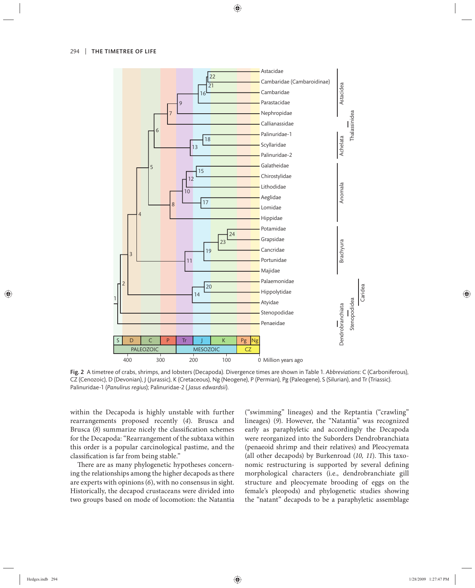

Fig. 2 A timetree of crabs, shrimps, and lobsters (Decapoda). Divergence times are shown in Table 1. *Abbreviations*: C (Carboniferous), CZ (Cenozoic), D (Devonian), J (Jurassic), K (Cretaceous), Ng (Neogene), P (Permian), Pg (Paleogene), S (Silurian), and Tr (Triassic). Palinuridae-1 (*Panulirus regius*); Palinuridae-2 ( *Jasus edwardsii*).

within the Decapoda is highly unstable with further rearrangements proposed recently (*4*). Brusca and Brusca (8) summarize nicely the classification schemes for the Decapoda: "Rearrangement of the subtaxa within this order is a popular carcinological pastime, and the classification is far from being stable."

There are as many phylogenetic hypotheses concerning the relationships among the higher decapods as there are experts with opinions (*6*), with no consensus in sight. Historically, the decapod crustaceans were divided into two groups based on mode of locomotion: the Natantia

("swimming" lineages) and the Reptantia ("crawling" lineages) (*9*). However, the "Natantia" was recognized early as paraphyletic and accordingly the Decapoda were reorganized into the Suborders Dendrobranchiata (penaeoid shrimp and their relatives) and Pleocyemata (all other decapods) by Burkenroad (10, 11). This taxonomic restructuring is supported by several defining morphological characters (i.e., dendrobranchiate gill structure and pleocyemate brooding of eggs on the female's pleopods) and phylogenetic studies showing the "natant" decapods to be a paraphyletic assemblage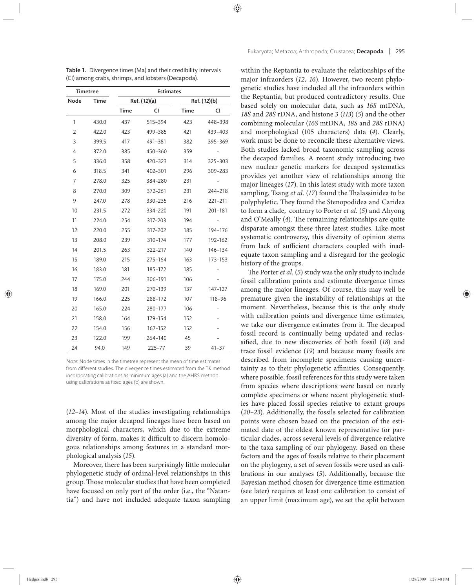| <b>Timetree</b> |             | <b>Estimates</b> |              |             |              |  |
|-----------------|-------------|------------------|--------------|-------------|--------------|--|
| Node            | <b>Time</b> |                  | Ref. (12)(a) |             | Ref. (12)(b) |  |
|                 |             | <b>Time</b>      | CI           | <b>Time</b> | CI           |  |
| $\mathbf{1}$    | 430.0       | 437              | 515-394      | 423         | 448-398      |  |
| $\overline{2}$  | 422.0       | 423              | 499-385      | 421         | 439-403      |  |
| 3               | 399.5       | 417              | 491-381      | 382         | 395-369      |  |
| $\overline{4}$  | 372.0       | 385              | 450-360      | 359         |              |  |
| 5               | 336.0       | 358              | 420-323      | 314         | 325-303      |  |
| 6               | 318.5       | 341              | 402-301      | 296         | 309-283      |  |
| 7               | 278.0       | 325              | 384-280      | 231         |              |  |
| 8               | 270.0       | 309              | 372-261      | 231         | 244-218      |  |
| 9               | 247.0       | 278              | 330-235      | 216         | 221-211      |  |
| 10              | 231.5       | 272              | 334-220      | 191         | 201-181      |  |
| 11              | 224.0       | 254              | 317-203      | 194         |              |  |
| 12              | 220.0       | 255              | 317-202      | 185         | 194-176      |  |
| 13              | 208.0       | 239              | 310-174      | 177         | 192-162      |  |
| 14              | 201.5       | 263              | 322-217      | 140         | 146-134      |  |
| 15              | 189.0       | 215              | 275-164      | 163         | 173-153      |  |
| 16              | 183.0       | 181              | 185-172      | 185         |              |  |
| 17              | 175.0       | 244              | 306-191      | 106         |              |  |
| 18              | 169.0       | 201              | 270-139      | 137         | 147-127      |  |
| 19              | 166.0       | 225              | 288-172      | 107         | 118-96       |  |
| 20              | 165.0       | 224              | 280-177      | 106         |              |  |
| 21              | 158.0       | 164              | 179-154      | 152         |              |  |
| 22              | 154.0       | 156              | 167-152      | 152         |              |  |
| 23              | 122.0       | 199              | 264-140      | 45          |              |  |
| 24              | 94.0        | 149              | $225 - 77$   | 39          | $41 - 37$    |  |

Table 1. Divergence times (Ma) and their credibility intervals (CI) among crabs, shrimps, and lobsters (Decapoda).

Note: Node times in the timetree represent the mean of time estimates from different studies. The divergence times estimated from the TK method incorporating calibrations as minimum ages (a) and the AHRS method using calibrations as fixed ages (b) are shown.

 $(12-14)$ . Most of the studies investigating relationships among the major decapod lineages have been based on morphological characters, which due to the extreme diversity of form, makes it difficult to discern homologous relationships among features in a standard morphological analysis (*15*).

Moreover, there has been surprisingly little molecular phylogenetic study of ordinal-level relationships in this group. Those molecular studies that have been completed have focused on only part of the order (i.e., the "Natantia") and have not included adequate taxon sampling within the Reptantia to evaluate the relationships of the major infraorders (*12, 16*). However, two recent phylogenetic studies have included all the infraorders within the Reptantia, but produced contradictory results. One based solely on molecular data, such as *16S* mtDNA, *18S* and *28S* rDNA, and histone 3 (*H3*) (*5*) and the other combining molecular (*16S* mtDNA, *18S* and *28S* rDNA) and morphological (105 characters) data (*4*). Clearly, work must be done to reconcile these alternative views. Both studies lacked broad taxonomic sampling across the decapod families. A recent study introducing two new nuclear genetic markers for decapod systematics provides yet another view of relationships among the major lineages (*17*). In this latest study with more taxon sampling, Tsang *et al.* (17) found the Thalassinidea to be polyphyletic. They found the Stenopodidea and Caridea to form a clade, contrary to Porter *et al.* (*5*) and Ahyong and O'Meally (4). The remaining relationships are quite disparate amongst these three latest studies. Like most systematic controversy, this diversity of opinion stems from lack of sufficient characters coupled with inadequate taxon sampling and a disregard for the geologic history of the groups.

The Porter *et al.* (5) study was the only study to include fossil calibration points and estimate divergence times among the major lineages. Of course, this may well be premature given the instability of relationships at the moment. Nevertheless, because this is the only study with calibration points and divergence time estimates, we take our divergence estimates from it. The decapod fossil record is continually being updated and reclassified, due to new discoveries of both fossil (18) and trace fossil evidence (*19*) and because many fossils are described from incomplete specimens causing uncertainty as to their phylogenetic affinities. Consequently, where possible, fossil references for this study were taken from species where descriptions were based on nearly complete specimens or where recent phylogenetic studies have placed fossil species relative to extant groups (*20–23*). Additionally, the fossils selected for calibration points were chosen based on the precision of the estimated date of the oldest known representative for particular clades, across several levels of divergence relative to the taxa sampling of our phylogeny. Based on these factors and the ages of fossils relative to their placement on the phylogeny, a set of seven fossils were used as calibrations in our analyses (5). Additionally, because the Bayesian method chosen for divergence time estimation (see later) requires at least one calibration to consist of an upper limit (maximum age), we set the split between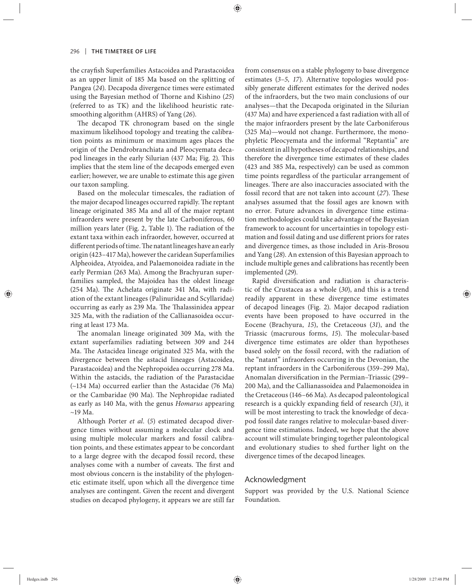the crayfish Superfamilies Astacoidea and Parastacoidea as an upper limit of 185 Ma based on the splitting of Pangea (*24*). Decapoda divergence times were estimated using the Bayesian method of Thorne and Kishino (25) (referred to as TK) and the likelihood heuristic ratesmoothing algorithm (AHRS) of Yang (*26*).

The decapod TK chronogram based on the single maximum likelihood topology and treating the calibration points as minimum or maximum ages places the origin of the Dendrobranchiata and Pleocyemata decapod lineages in the early Silurian (437 Ma; Fig. 2). This implies that the stem line of the decapods emerged even earlier; however, we are unable to estimate this age given our taxon sampling.

Based on the molecular timescales, the radiation of the major decapod lineages occurred rapidly. The reptant lineage originated 385 Ma and all of the major reptant infraorders were present by the late Carboniferous, 60 million years later (Fig. 2, Table 1). The radiation of the extant taxa within each infraorder, however, occurred at different periods of time. The natant lineages have an early origin (423–417 Ma), however the caridean Superfamilies Alpheoidea, Atyoidea, and Palaemonoidea radiate in the early Permian (263 Ma). Among the Brachyuran superfamilies sampled, the Majoidea has the oldest lineage (254 Ma). The Achelata originate 341 Ma, with radiation of the extant lineages (Palinuridae and Scyllaridae) occurring as early as 239 Ma. The Thalassinidea appear 325 Ma, with the radiation of the Callianasoidea occurring at least 173 Ma.

The anomalan lineage originated 309 Ma, with the extant superfamilies radiating between 309 and 244 Ma. The Astacidea lineage originated 325 Ma, with the divergence between the astacid lineages (Astacoidea, Parastacoidea) and the Nephropoidea occurring 278 Ma. Within the astacids, the radiation of the Parastacidae (~134 Ma) occurred earlier than the Astacidae (76 Ma) or the Cambaridae (90 Ma). The Nephropidae radiated as early as 140 Ma, with the genus *Homarus* appearing  $\sim$ 19 Ma.

Although Porter *et al.* (*5*) estimated decapod divergence times without assuming a molecular clock and using multiple molecular markers and fossil calibration points, and these estimates appear to be concordant to a large degree with the decapod fossil record, these analyses come with a number of caveats. The first and most obvious concern is the instability of the phylogenetic estimate itself, upon which all the divergence time analyses are contingent. Given the recent and divergent studies on decapod phylogeny, it appears we are still far from consensus on a stable phylogeny to base divergence estimates (3-5, 17). Alternative topologies would possibly generate different estimates for the derived nodes of the infraorders, but the two main conclusions of our analyses—that the Decapoda originated in the Silurian (437 Ma) and have experienced a fast radiation with all of the major infraorders present by the late Carboniferous (325 Ma)—would not change. Furthermore, the monophyletic Pleocyemata and the informal "Reptantia" are consistent in all hypotheses of decapod relationships, and therefore the divergence time estimates of these clades (423 and 385 Ma, respectively) can be used as common time points regardless of the particular arrangement of lineages. There are also inaccuracies associated with the fossil record that are not taken into account (27). These analyses assumed that the fossil ages are known with no error. Future advances in divergence time estimation methodologies could take advantage of the Bayesian framework to account for uncertainties in topology estimation and fossil dating and use different priors for rates and divergence times, as those included in Aris-Brosou and Yang (*28*). An extension of this Bayesian approach to include multiple genes and calibrations has recently been implemented (*29*).

Rapid diversification and radiation is characteristic of the Crustacea as a whole (*30*), and this is a trend readily apparent in these divergence time estimates of decapod lineages (Fig. 2). Major decapod radiation events have been proposed to have occurred in the Eocene (Brachyura, 15), the Cretaceous (31), and the Triassic (macrurous forms, 15). The molecular-based divergence time estimates are older than hypotheses based solely on the fossil record, with the radiation of the "natant" infraorders occurring in the Devonian, the reptant infraorders in the Carboniferous (359–299 Ma), Anomalan diversification in the Permian–Triassic (299– 200 Ma), and the Callianassoidea and Palaemonoidea in the Cretaceous (146–66 Ma). As decapod paleontological research is a quickly expanding field of research (31), it will be most interesting to track the knowledge of decapod fossil date ranges relative to molecular-based divergence time estimations. Indeed, we hope that the above account will stimulate bringing together paleontological and evolutionary studies to shed further light on the divergence times of the decapod lineages.

### Acknowledgment

Support was provided by the U.S. National Science Foundation.